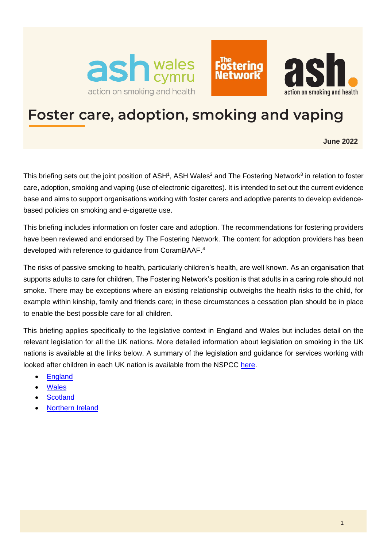





# **Foster care, adoption, smoking and vaping**

<span id="page-0-0"></span>**June 2022**

This briefing sets out the joint position of ASH<sup>1</sup>, ASH Wales<sup>2</sup> and The Fostering Network<sup>3</sup> in relation to foster care, adoption, smoking and vaping (use of electronic cigarettes). It is intended to set out the current evidence base and aims to support organisations working with foster carers and adoptive parents to develop evidencebased policies on smoking and e-cigarette use.

This briefing includes information on foster care and adoption. The recommendations for fostering providers have been reviewed and endorsed by The Fostering Network. The content for adoption providers has been developed with reference to guidance from CoramBAAF.<sup>4</sup>

The risks of passive smoking to health, particularly children's health, are well known. As an organisation that supports adults to care for children, The Fostering Network's position is that adults in a caring role should not smoke. There may be exceptions where an existing relationship outweighs the health risks to the child, for example within kinship, family and friends care; in these circumstances a cessation plan should be in place to enable the best possible care for all children.

This briefing applies specifically to the legislative context in England and Wales but includes detail on the relevant legislation for all the UK nations. More detailed information about legislation on smoking in the UK nations is available at the links below. A summary of the legislation and guidance for services working with looked after children in each UK nation is available from the NSPCC [here.](https://learning.nspcc.org.uk/children-and-families-at-risk/looked-after-children)

- [England](https://ash.org.uk/category/information-and-resources/law-guide/)
- **[Wales](https://gov.wales/smoking)**
- **Scotland**
- [Northern Ireland](https://www.nidirect.gov.uk/articles/smoking-regulations-northern-ireland)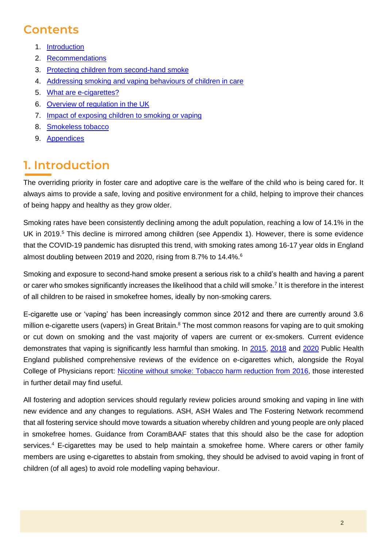# **Contents**

- 1. [Introduction](#page-1-0)
- 2. [Recommendations](#page-2-0)
- 3. [Protecting children from second-hand smoke](#page-4-0)
- 4. [Addressing smoking and vaping behaviours of children in care](#page-8-0)
- 5. [What are e-cigarettes?](#page-10-0)
- 6. [Overview of regulation in the UK](#page-12-0)
- 7. [Impact of exposing children to smoking or vaping](#page-15-0)
- 8. [Smokeless tobacco](#page-18-0)
- 9. [Appendices](#page-19-0)

# <span id="page-1-0"></span>**1. Introduction**

The overriding priority in foster care and adoptive care is the welfare of the child who is being cared for. It always aims to provide a safe, loving and positive environment for a child, helping to improve their chances of being happy and healthy as they grow older.

Smoking rates have been consistently declining among the adult population, reaching a low of 14.1% in the UK in 2019.<sup>5</sup> This decline is mirrored among children (see Appendix 1). However, there is some evidence that the COVID-19 pandemic has disrupted this trend, with smoking rates among 16-17 year olds in England almost doubling between 2019 and 2020, rising from 8.7% to 14.4%.<sup>6</sup>

<span id="page-1-3"></span><span id="page-1-2"></span>Smoking and exposure to second-hand smoke present a serious risk to a child's health and having a parent or carer who smokes significantly increases the likelihood that a child will smoke.<sup>7</sup> It is therefore in the interest of all children to be raised in smokefree homes, ideally by non-smoking carers.

<span id="page-1-1"></span>E-cigarette use or 'vaping' has been increasingly common since 2012 and there are currently around 3.6 million e-cigarette users (vapers) in Great Britain.<sup>8</sup> The most common reasons for vaping are to quit smoking or cut down on smoking and the vast majority of vapers are current or ex-smokers. Current evidence demonstrates that vaping is significantly less harmful than smoking. In [2015,](https://www.gov.uk/government/publications/e-cigarettes-an-evidence-update) [2018](https://www.gov.uk/government/publications/e-cigarettes-and-heated-tobacco-products-evidence-review/evidence-review-of-e-cigarettes-and-heated-tobacco-products-2018-executive-summary) and [2020](https://www.gov.uk/government/publications/vaping-in-england-evidence-update-march-2020) Public Health England published comprehensive reviews of the evidence on e-cigarettes which, alongside the Royal College of Physicians report: [Nicotine without smoke: Tobacco harm reduction](https://www.rcplondon.ac.uk/projects/outputs/nicotine-without-smoke-tobacco-harm-reduction-0) from 2016, those interested in further detail may find useful.

All fostering and adoption services should regularly review policies around smoking and vaping in line with new evidence and any changes to regulations. ASH, ASH Wales and The Fostering Network recommend that all fostering service should move towards a situation whereby children and young people are only placed in smokefree homes. Guidance from CoramBAAF states that this should also be the case for adoption services[.](#page-0-0)<sup>4</sup> E-cigarettes may be used to help maintain a smokefree home. Where carers or other family members are using e-cigarettes to abstain from smoking, they should be advised to avoid vaping in front of children (of all ages) to avoid role modelling vaping behaviour.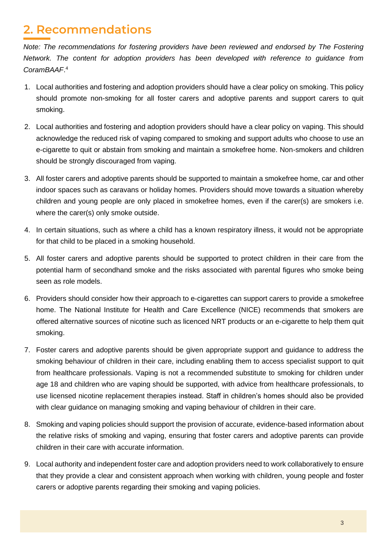# <span id="page-2-0"></span>**2. Recommendations**

*Note: The recommendations for fostering providers have been reviewed and endorsed by The Fostering Network. The content for adoption providers has been developed with reference to guidance from CoramBAAF*. [4](#page-0-0)

- 1. Local authorities and fostering and adoption providers should have a clear policy on smoking. This policy should promote non-smoking for all foster carers and adoptive parents and support carers to quit smoking.
- 2. Local authorities and fostering and adoption providers should have a clear policy on vaping. This should acknowledge the reduced risk of vaping compared to smoking and support adults who choose to use an e-cigarette to quit or abstain from smoking and maintain a smokefree home. Non-smokers and children should be strongly discouraged from vaping.
- 3. All foster carers and adoptive parents should be supported to maintain a smokefree home, car and other indoor spaces such as caravans or holiday homes. Providers should move towards a situation whereby children and young people are only placed in smokefree homes, even if the carer(s) are smokers i.e. where the carer(s) only smoke outside.
- 4. In certain situations, such as where a child has a known respiratory illness, it would not be appropriate for that child to be placed in a smoking household.
- 5. All foster carers and adoptive parents should be supported to protect children in their care from the potential harm of secondhand smoke and the risks associated with parental figures who smoke being seen as role models.
- 6. Providers should consider how their approach to e-cigarettes can support carers to provide a smokefree home. The National Institute for Health and Care Excellence (NICE) recommends that smokers are offered alternative sources of nicotine such as licenced NRT products or an e-cigarette to help them quit smoking.
- 7. Foster carers and adoptive parents should be given appropriate support and guidance to address the smoking behaviour of children in their care, including enabling them to access specialist support to quit from healthcare professionals. Vaping is not a recommended substitute to smoking for children under age 18 and children who are vaping should be supported, with advice from healthcare professionals, to use licensed nicotine replacement therapies instead. Staff in children's homes should also be provided with clear guidance on managing smoking and vaping behaviour of children in their care.
- 8. Smoking and vaping policies should support the provision of accurate, evidence-based information about the relative risks of smoking and vaping, ensuring that foster carers and adoptive parents can provide children in their care with accurate information.
- 9. Local authority and independent foster care and adoption providers need to work collaboratively to ensure that they provide a clear and consistent approach when working with children, young people and foster carers or adoptive parents regarding their smoking and vaping policies.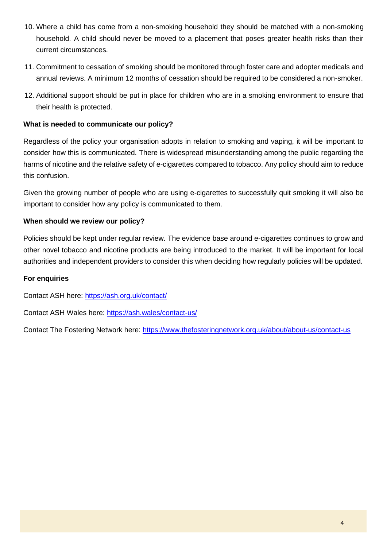- 10. Where a child has come from a non-smoking household they should be matched with a non-smoking household. A child should never be moved to a placement that poses greater health risks than their current circumstances.
- 11. Commitment to cessation of smoking should be monitored through foster care and adopter medicals and annual reviews. A minimum 12 months of cessation should be required to be considered a non-smoker.
- 12. Additional support should be put in place for children who are in a smoking environment to ensure that their health is protected.

#### **What is needed to communicate our policy?**

Regardless of the policy your organisation adopts in relation to smoking and vaping, it will be important to consider how this is communicated. There is widespread misunderstanding among the public regarding the harms of nicotine and the relative safety of e-cigarettes compared to tobacco. Any policy should aim to reduce this confusion.

Given the growing number of people who are using e-cigarettes to successfully quit smoking it will also be important to consider how any policy is communicated to them.

#### **When should we review our policy?**

Policies should be kept under regular review. The evidence base around e-cigarettes continues to grow and other novel tobacco and nicotine products are being introduced to the market. It will be important for local authorities and independent providers to consider this when deciding how regularly policies will be updated.

#### **For enquiries**

Contact ASH here:<https://ash.org.uk/contact/>

Contact ASH Wales here:<https://ash.wales/contact-us/>

Contact The Fostering Network here:<https://www.thefosteringnetwork.org.uk/about/about-us/contact-us>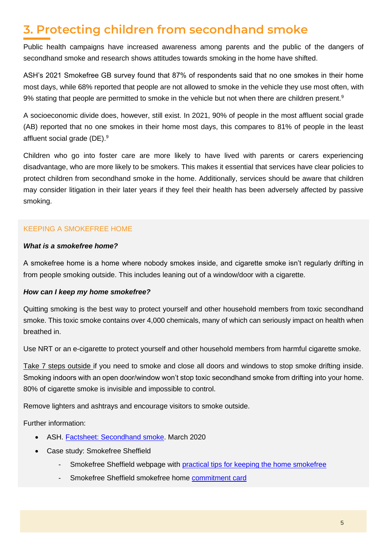# <span id="page-4-0"></span>**3. Protecting children from secondhand smoke**

Public health campaigns have increased awareness among parents and the public of the dangers of secondhand smoke and research shows attitudes towards smoking in the home have shifted.

ASH's 2021 Smokefree GB survey found that 87% of respondents said that no one smokes in their home most days, while 68% reported that people are not allowed to smoke in the vehicle they use most often, with 9% stating that people are permitted to smoke in the vehicle but not when there are children present.<sup>9</sup>

<span id="page-4-1"></span>A socioeconomic divide does, however, still exist. In 2021, 90% of people in the most affluent social grade (AB) reported that no one smokes in their home most days, this compares to 81% of people in the least affluent social grade (DE).<sup>[9](#page-4-1)</sup>

Children who go into foster care are more likely to have lived with parents or carers experiencing disadvantage, who are more likely to be smokers. This makes it essential that services have clear policies to protect children from secondhand smoke in the home. Additionally, services should be aware that children may consider litigation in their later years if they feel their health has been adversely affected by passive smoking.

# KEEPING A SMOKEFREE HOME

#### *What is a smokefree home?*

A smokefree home is a home where nobody smokes inside, and cigarette smoke isn't regularly drifting in from people smoking outside. This includes leaning out of a window/door with a cigarette.

### *How can I keep my home smokefree?*

Quitting smoking is the best way to protect yourself and other household members from toxic secondhand smoke. This toxic smoke contains over 4,000 chemicals, many of which can seriously impact on health when breathed in.

Use NRT or an e-cigarette to protect yourself and other household members from harmful cigarette smoke.

Take 7 steps outside if you need to smoke and close all doors and windows to stop smoke drifting inside. Smoking indoors with an open door/window won't stop toxic secondhand smoke from drifting into your home. 80% of cigarette smoke is invisible and impossible to control.

Remove lighters and ashtrays and encourage visitors to smoke outside.

Further information:

- ASH. [Factsheet: Secondhand smoke.](https://ash.org.uk/information-and-resources/fact-sheets/secondhand-smoke/) March 2020
- Case study: Smokefree Sheffield
	- Smokefree Sheffield webpage with [practical tips for keeping the home smokefree](https://smokefreesheffield.org/why-quit/family/)
	- Smokefree Sheffield smokefree home [commitment card](https://smokefreesheffield.org/app/uploads/2021/02/Smokefree-Homes-Commitment-Card-1.pdf)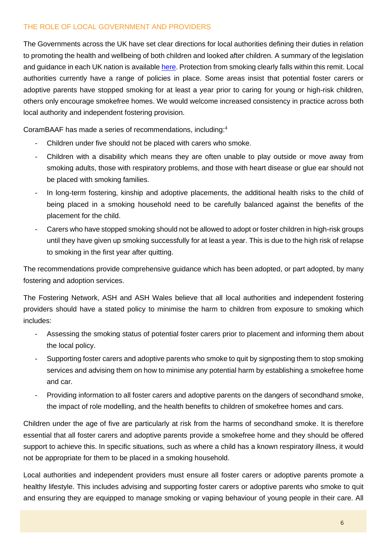### THE ROLE OF LOCAL GOVERNMENT AND PROVIDERS

The Governments across the UK have set clear directions for local authorities defining their duties in relation to promoting the health and wellbeing of both children and looked after children. A summary of the legislation and guidance in each UK nation is availabl[e here.](https://learning.nspcc.org.uk/children-and-families-at-risk/looked-after-children) Protection from smoking clearly falls within this remit. Local authorities currently have a range of policies in place. Some areas insist that potential foster carers or adoptive parents have stopped smoking for at least a year prior to caring for young or high-risk children, others only encourage smokefree homes. We would welcome increased consistency in practice across both local authority and independent fostering provision.

CoramBAAF has made a series of recommendations, including:[4](#page-0-0)

- Children under five should not be placed with carers who smoke.
- Children with a disability which means they are often unable to play outside or move away from smoking adults, those with respiratory problems, and those with heart disease or glue ear should not be placed with smoking families.
- In long-term fostering, kinship and adoptive placements, the additional health risks to the child of being placed in a smoking household need to be carefully balanced against the benefits of the placement for the child.
- Carers who have stopped smoking should not be allowed to adopt or foster children in high-risk groups until they have given up smoking successfully for at least a year. This is due to the high risk of relapse to smoking in the first year after quitting.

The recommendations provide comprehensive guidance which has been adopted, or part adopted, by many fostering and adoption services.

The Fostering Network, ASH and ASH Wales believe that all local authorities and independent fostering providers should have a stated policy to minimise the harm to children from exposure to smoking which includes:

- Assessing the smoking status of potential foster carers prior to placement and informing them about the local policy.
- Supporting foster carers and adoptive parents who smoke to quit by signposting them to stop smoking services and advising them on how to minimise any potential harm by establishing a smokefree home and car.
- Providing information to all foster carers and adoptive parents on the dangers of secondhand smoke, the impact of role modelling, and the health benefits to children of smokefree homes and cars.

Children under the age of five are particularly at risk from the harms of secondhand smoke. It is therefore essential that all foster carers and adoptive parents provide a smokefree home and they should be offered support to achieve this. In specific situations, such as where a child has a known respiratory illness, it would not be appropriate for them to be placed in a smoking household.

Local authorities and independent providers must ensure all foster carers or adoptive parents promote a healthy lifestyle. This includes advising and supporting foster carers or adoptive parents who smoke to quit and ensuring they are equipped to manage smoking or vaping behaviour of young people in their care. All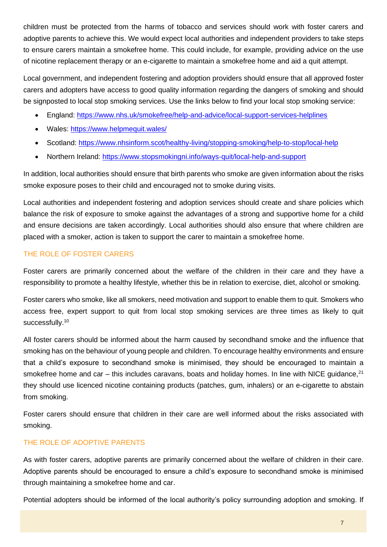children must be protected from the harms of tobacco and services should work with foster carers and adoptive parents to achieve this. We would expect local authorities and independent providers to take steps to ensure carers maintain a smokefree home. This could include, for example, providing advice on the use of nicotine replacement therapy or an e-cigarette to maintain a smokefree home and aid a quit attempt.

Local government, and independent fostering and adoption providers should ensure that all approved foster carers and adopters have access to good quality information regarding the dangers of smoking and should be signposted to local stop smoking services. Use the links below to find your local stop smoking service:

- England:<https://www.nhs.uk/smokefree/help-and-advice/local-support-services-helplines>
- Wales:<https://www.helpmequit.wales/>
- Scotland:<https://www.nhsinform.scot/healthy-living/stopping-smoking/help-to-stop/local-help>
- Northern Ireland:<https://www.stopsmokingni.info/ways-quit/local-help-and-support>

In addition, local authorities should ensure that birth parents who smoke are given information about the risks smoke exposure poses to their child and encouraged not to smoke during visits.

Local authorities and independent fostering and adoption services should create and share policies which balance the risk of exposure to smoke against the advantages of a strong and supportive home for a child and ensure decisions are taken accordingly. Local authorities should also ensure that where children are placed with a smoker, action is taken to support the carer to maintain a smokefree home.

# THE ROLE OF FOSTER CARERS

Foster carers are primarily concerned about the welfare of the children in their care and they have a responsibility to promote a healthy lifestyle, whether this be in relation to exercise, diet, alcohol or smoking.

Foster carers who smoke, like all smokers, need motivation and support to enable them to quit. Smokers who access free, expert support to quit from local stop smoking services are three times as likely to quit successfully.<sup>10</sup>

All foster carers should be informed about the harm caused by secondhand smoke and the influence that smoking has on the behaviour of young people and children. To encourage healthy environments and ensure that a child's exposure to secondhand smoke is minimised, they should be encouraged to maintain a smokefree home and car – this includes caravans, boats and holiday homes. In line with NICE quidance,  $2^1$ they should use licenced nicotine containing products (patches, gum, inhalers) or an e-cigarette to abstain from smoking.

Foster carers should ensure that children in their care are well informed about the risks associated with smoking.

# THE ROLE OF ADOPTIVE PARENTS

As with foster carers, adoptive parents are primarily concerned about the welfare of children in their care. Adoptive parents should be encouraged to ensure a child's exposure to secondhand smoke is minimised through maintaining a smokefree home and car.

Potential adopters should be informed of the local authority's policy surrounding adoption and smoking. If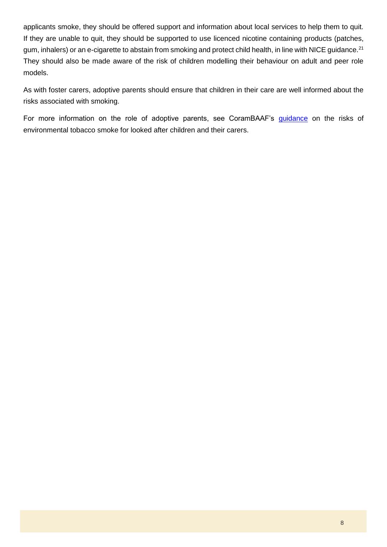applicants smoke, they should be offered support and information about local services to help them to quit. If they are unable to quit, they should be supported to use licenced nicotine containing products (patches, gum, inhalers) or an e-cigarette to abstain from smoking and protect child health, in line with NICE guidance.<sup>[21](#page-11-0)</sup> They should also be made aware of the risk of children modelling their behaviour on adult and peer role models.

As with foster carers, adoptive parents should ensure that children in their care are well informed about the risks associated with smoking.

For more information on the role of adoptive parents, see CoramBAAF's [guidance](https://corambaaf.org.uk/books/practice-note-68-reducing-risks-environmental-tobacco-smoke-looked-after-children-and-their-0) on the risks of environmental tobacco smoke for looked after children and their carers.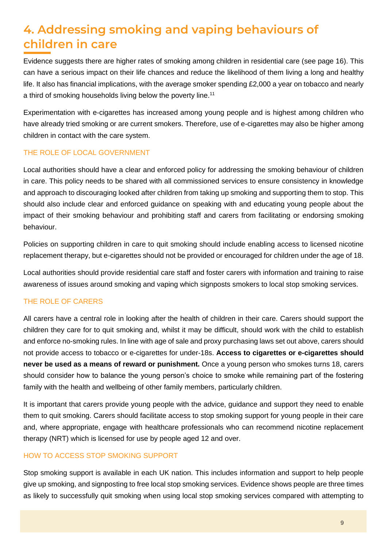# <span id="page-8-0"></span>**4. Addressing smoking and vaping behaviours of children in care**

Evidence suggests there are higher rates of smoking among children in residential care (see page 16). This can have a serious impact on their life chances and reduce the likelihood of them living a long and healthy life. It also has financial implications, with the average smoker spending £2,000 a year on tobacco and nearly a third of smoking households living below the poverty line.<sup>11</sup>

Experimentation with e-cigarettes has increased among young people and is highest among children who have already tried smoking or are current smokers. Therefore, use of e-cigarettes may also be higher among children in contact with the care system.

# THE ROLE OF LOCAL GOVERNMENT

Local authorities should have a clear and enforced policy for addressing the smoking behaviour of children in care. This policy needs to be shared with all commissioned services to ensure consistency in knowledge and approach to discouraging looked after children from taking up smoking and supporting them to stop. This should also include clear and enforced guidance on speaking with and educating young people about the impact of their smoking behaviour and prohibiting staff and carers from facilitating or endorsing smoking behaviour.

Policies on supporting children in care to quit smoking should include enabling access to licensed nicotine replacement therapy, but e-cigarettes should not be provided or encouraged for children under the age of 18.

Local authorities should provide residential care staff and foster carers with information and training to raise awareness of issues around smoking and vaping which signposts smokers to local stop smoking services.

# THE ROLE OF CARERS

All carers have a central role in looking after the health of children in their care. Carers should support the children they care for to quit smoking and, whilst it may be difficult, should work with the child to establish and enforce no-smoking rules. In line with age of sale and proxy purchasing laws set out above, carers should not provide access to tobacco or e-cigarettes for under-18s. **Access to cigarettes or e-cigarettes should never be used as a means of reward or punishment.** Once a young person who smokes turns 18, carers should consider how to balance the young person's choice to smoke while remaining part of the fostering family with the health and wellbeing of other family members, particularly children.

It is important that carers provide young people with the advice, guidance and support they need to enable them to quit smoking. Carers should facilitate access to stop smoking support for young people in their care and, where appropriate, engage with healthcare professionals who can recommend nicotine replacement therapy (NRT) which is licensed for use by people aged 12 and over.

### HOW TO ACCESS STOP SMOKING SUPPORT

Stop smoking support is available in each UK nation. This includes information and support to help people give up smoking, and signposting to free local stop smoking services. Evidence shows people are three times as likely to successfully quit smoking when using local stop smoking services compared with attempting to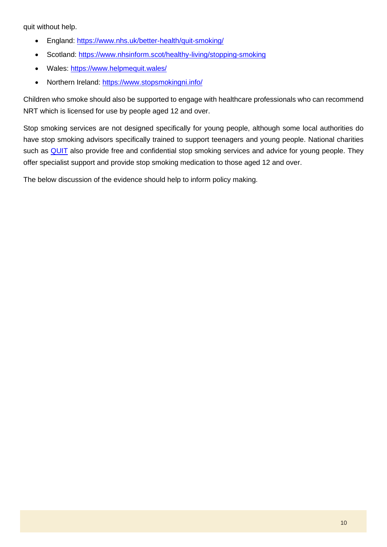quit without help.

- England:<https://www.nhs.uk/better-health/quit-smoking/>
- Scotland: <https://www.nhsinform.scot/healthy-living/stopping-smoking>
- Wales:<https://www.helpmequit.wales/>
- Northern Ireland:<https://www.stopsmokingni.info/>

Children who smoke should also be supported to engage with healthcare professionals who can recommend NRT which is licensed for use by people aged 12 and over.

Stop smoking services are not designed specifically for young people, although some local authorities do have stop smoking advisors specifically trained to support teenagers and young people. National charities such as **QUIT** also provide free and confidential stop smoking services and advice for young people. They offer specialist support and provide stop smoking medication to those aged 12 and over.

The below discussion of the evidence should help to inform policy making.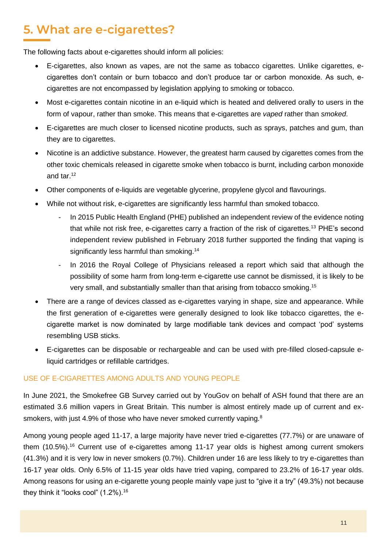# <span id="page-10-0"></span>**5. What are e-cigarettes?**

The following facts about e-cigarettes should inform all policies:

- E-cigarettes, also known as vapes, are not the same as tobacco cigarettes. Unlike cigarettes, ecigarettes don't contain or burn tobacco and don't produce tar or carbon monoxide. As such, ecigarettes are not encompassed by legislation applying to smoking or tobacco.
- Most e-cigarettes contain nicotine in an e-liquid which is heated and delivered orally to users in the form of vapour, rather than smoke. This means that e-cigarettes are *vaped* rather than *smoked*.
- E-cigarettes are much closer to licensed nicotine products, such as sprays, patches and gum, than they are to cigarettes.
- Nicotine is an addictive substance. However, the greatest harm caused by cigarettes comes from the other toxic chemicals released in cigarette smoke when tobacco is burnt, including carbon monoxide and tar.<sup>12</sup>
- Other components of e-liquids are vegetable glycerine, propylene glycol and flavourings.
- <span id="page-10-3"></span>• While not without risk, e-cigarettes are significantly less harmful than smoked tobacco.
	- In 2015 Public Health England (PHE) published an independent review of the evidence noting that while not risk free, e-cigarettes carry a fraction of the risk of cigarettes.<sup>13</sup> PHE's second independent review published in February 2018 further supported the finding that vaping is significantly less harmful than smoking.<sup>14</sup>
	- In 2016 the Royal College of Physicians released a report which said that although the possibility of some harm from long-term e-cigarette use cannot be dismissed, it is likely to be very small, and substantially smaller than that arising from tobacco smoking.<sup>15</sup>
- <span id="page-10-2"></span>• There are a range of devices classed as e-cigarettes varying in shape, size and appearance. While the first generation of e-cigarettes were generally designed to look like tobacco cigarettes, the ecigarette market is now dominated by large modifiable tank devices and compact 'pod' systems resembling USB sticks.
- E-cigarettes can be disposable or rechargeable and can be used with pre-filled closed-capsule eliquid cartridges or refillable cartridges.

### USE OF E-CIGARETTES AMONG ADULTS AND YOUNG PEOPLE

In June 2021, the Smokefree GB Survey carried out by YouGov on behalf of ASH found that there are an estimated 3.6 million vapers in Great Britain. This number is almost entirely made up of current and ex-smokers, with just 4.9% of those who have never smoked currently vaping.<sup>[8](#page-1-1)</sup>

<span id="page-10-1"></span>Among young people aged 11-17, a large majority have never tried e-cigarettes (77.7%) or are unaware of them (10.5%).<sup>16</sup> Current use of e-cigarettes among 11-17 year olds is highest among current smokers (41.3%) and it is very low in never smokers (0.7%). Children under 16 are less likely to try e-cigarettes than 16-17 year olds. Only 6.5% of 11-15 year olds have tried vaping, compared to 23.2% of 16-17 year olds. Among reasons for using an e-cigarette young people mainly vape just to "give it a try" (49.3%) not because they think it "looks cool" (1.2%).[16](#page-10-1)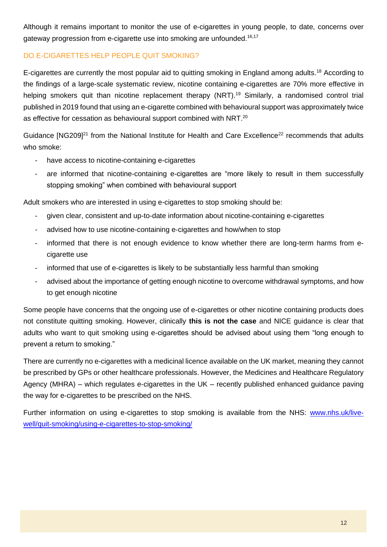Although it remains important to monitor the use of e-cigarettes in young people, to date, concerns over gateway progression from e-cigarette use into smoking are unfounded.<sup>[16,](#page-10-1)17</sup>

### DO E-CIGARETTES HELP PEOPLE QUIT SMOKING?

E-cigarettes are currently the most popular aid to quitting smoking in England among adults.<sup>18</sup> According to the findings of a large-scale systematic review, nicotine containing e-cigarettes are 70% more effective in helping smokers quit than nicotine replacement therapy (NRT).<sup>19</sup> Similarly, a randomised control trial published in 2019 found that using an e-cigarette combined with behavioural support was approximately twice as effective for cessation as behavioural support combined with NRT.<sup>20</sup>

Guidance  $[NG209]^{21}$  from the National Institute for Health and Care Excellence<sup>22</sup> recommends that adults who smoke:

- <span id="page-11-0"></span>have access to nicotine-containing e-cigarettes
- are informed that nicotine-containing e-cigarettes are "more likely to result in them successfully stopping smoking" when combined with behavioural support

Adult smokers who are interested in using e-cigarettes to stop smoking should be:

- given clear, consistent and up-to-date information about nicotine-containing e-cigarettes
- advised how to use nicotine-containing e-cigarettes and how/when to stop
- informed that there is not enough evidence to know whether there are long-term harms from ecigarette use
- informed that use of e-cigarettes is likely to be substantially less harmful than smoking
- advised about the importance of getting enough nicotine to overcome withdrawal symptoms, and how to get enough nicotine

Some people have concerns that the ongoing use of e-cigarettes or other nicotine containing products does not constitute quitting smoking. However, clinically **this is not the case** and NICE guidance is clear that adults who want to quit smoking using e-cigarettes should be advised about using them "long enough to prevent a return to smoking."

There are currently no e-cigarettes with a medicinal licence available on the UK market, meaning they cannot be prescribed by GPs or other healthcare professionals. However, the Medicines and Healthcare Regulatory Agency (MHRA) – which regulates e-cigarettes in the UK – recently published enhanced guidance paving the way for e-cigarettes to be prescribed on the NHS.

Further information on using e-cigarettes to stop smoking is available from the NHS: [www.nhs.uk/live](http://www.nhs.uk/live-well/quit-smoking/using-e-cigarettes-to-stop-smoking/)[well/quit-smoking/using-e-cigarettes-to-stop-smoking/](http://www.nhs.uk/live-well/quit-smoking/using-e-cigarettes-to-stop-smoking/)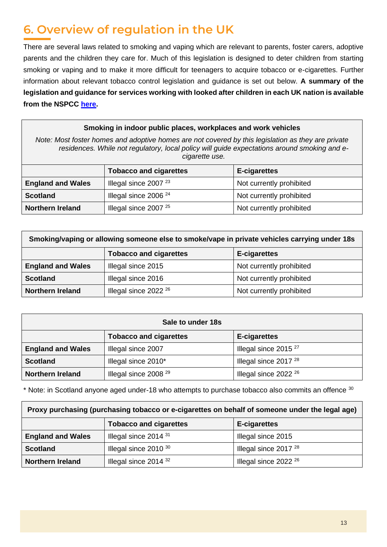# <span id="page-12-0"></span>**6. Overview of regulation in the UK**

There are several laws related to smoking and vaping which are relevant to parents, foster carers, adoptive parents and the children they care for. Much of this legislation is designed to deter children from starting smoking or vaping and to make it more difficult for teenagers to acquire tobacco or e-cigarettes. Further information about relevant tobacco control legislation and guidance is set out below. **A summary of the legislation and guidance for services working with looked after children in each UK nation is available from the NSPCC [here.](https://learning.nspcc.org.uk/children-and-families-at-risk/looked-after-children)**

### **Smoking in indoor public places, workplaces and work vehicles**

*Note: Most foster homes and adoptive homes are not covered by this legislation as they are private residences. While not regulatory, local policy will guide expectations around smoking and ecigarette use.* 

|                          | <b>Tobacco and cigarettes</b> | <b>E-cigarettes</b>      |
|--------------------------|-------------------------------|--------------------------|
| <b>England and Wales</b> | Illegal since $200723$        | Not currently prohibited |
| <b>Scotland</b>          | Illegal since $200624$        | Not currently prohibited |
| <b>Northern Ireland</b>  | Illegal since $200725$        | Not currently prohibited |

| Smoking/vaping or allowing someone else to smoke/vape in private vehicles carrying under 18s |                               |                          |  |  |
|----------------------------------------------------------------------------------------------|-------------------------------|--------------------------|--|--|
|                                                                                              | <b>Tobacco and cigarettes</b> | E-cigarettes             |  |  |
| <b>England and Wales</b>                                                                     | Illegal since 2015            | Not currently prohibited |  |  |
| <b>Scotland</b>                                                                              | Illegal since 2016            | Not currently prohibited |  |  |
| <b>Northern Ireland</b>                                                                      | Illegal since $2022^{26}$     | Not currently prohibited |  |  |

<span id="page-12-1"></span>

| Sale to under 18s        |                               |                                  |  |  |
|--------------------------|-------------------------------|----------------------------------|--|--|
|                          | <b>Tobacco and cigarettes</b> | <b>E-cigarettes</b>              |  |  |
| <b>England and Wales</b> | Illegal since 2007            | Illegal since $2015^{27}$        |  |  |
| <b>Scotland</b>          | Illegal since 2010*           | Illegal since 2017 <sup>28</sup> |  |  |
| <b>Northern Ireland</b>  | Illegal since $2008^{29}$     | Illegal since $2022^{26}$        |  |  |

<span id="page-12-3"></span><span id="page-12-2"></span>\* Note: in Scotland anyone aged under-18 who attempts to purchase tobacco also commits an offence <sup>30</sup>

| Proxy purchasing (purchasing tobacco or e-cigarettes on behalf of someone under the legal age) |                                  |                                  |  |
|------------------------------------------------------------------------------------------------|----------------------------------|----------------------------------|--|
|                                                                                                | <b>Tobacco and cigarettes</b>    | <b>E-cigarettes</b>              |  |
| <b>England and Wales</b>                                                                       | Illegal since 2014 <sup>31</sup> | Illegal since 2015               |  |
| <b>Scotland</b>                                                                                | Illegal since $2010^{30}$        | Illegal since 2017 <sup>28</sup> |  |
| <b>Northern Ireland</b>                                                                        | Illegal since $2014^{32}$        | Illegal since $2022^{26}$        |  |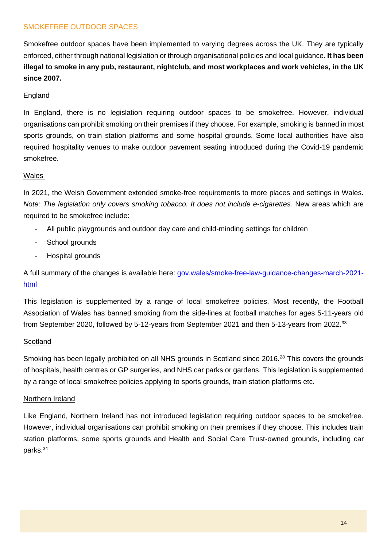### SMOKEFREE OUTDOOR SPACES

Smokefree outdoor spaces have been implemented to varying degrees across the UK. They are typically enforced, either through national legislation or through organisational policies and local guidance. **It has been illegal to smoke in any pub, restaurant, nightclub, and most workplaces and work vehicles, in the UK since 2007.**

#### England

In England, there is no legislation requiring outdoor spaces to be smokefree. However, individual organisations can prohibit smoking on their premises if they choose. For example, smoking is banned in most sports grounds, on train station platforms and some hospital grounds. Some local authorities have also required hospitality venues to make outdoor pavement seating introduced during the Covid-19 pandemic smokefree.

#### Wales

In 2021, the Welsh Government extended smoke-free requirements to more places and settings in Wales. *Note: The legislation only covers smoking tobacco. It does not include e-cigarettes. New areas which are* required to be smokefree include:

- All public playgrounds and outdoor day care and child-minding settings for children
- School grounds
- Hospital grounds

A full summary of the changes is available here: [gov.wales/smoke-free-law-guidance-changes-march-2021](https://gov.wales/smoke-free-law-guidance-changes-march-2021-html) [html](https://gov.wales/smoke-free-law-guidance-changes-march-2021-html)

This legislation is supplemented by a range of local smokefree policies. Most recently, the Football Association of Wales has banned smoking from the side-lines at football matches for ages 5-11-years old from September 2020, followed by 5-12-years from September 2021 and then 5-13-years from 2022.<sup>33</sup>

#### **Scotland**

Smoking has been legally prohibited on all NHS grounds in Scotland since 2016.<sup>[28](#page-12-3)</sup> This covers the grounds of hospitals, health centres or GP surgeries, and NHS car parks or gardens. This legislation is supplemented by a range of local smokefree policies applying to sports grounds, train station platforms etc.

#### Northern Ireland

Like England, Northern Ireland has not introduced legislation requiring outdoor spaces to be smokefree. However, individual organisations can prohibit smoking on their premises if they choose. This includes train station platforms, some sports grounds and Health and Social Care Trust-owned grounds, including car parks.34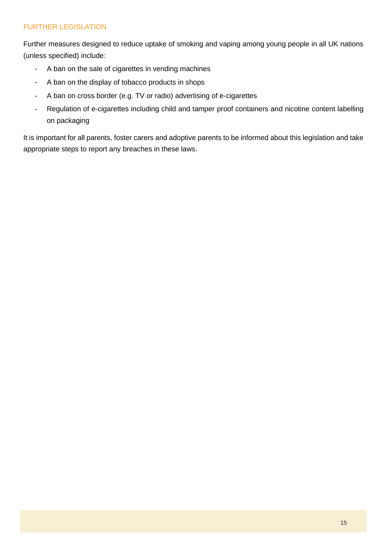# FURTHER LEGISLATION

Further measures designed to reduce uptake of smoking and vaping among young people in all UK nations (unless specified) include:

- A ban on the sale of cigarettes in vending machines
- A ban on the display of tobacco products in shops
- A ban on cross border (e.g. TV or radio) advertising of e-cigarettes
- Regulation of e-cigarettes including child and tamper proof containers and nicotine content labelling on packaging

It is important for all parents, foster carers and adoptive parents to be informed about this legislation and take appropriate steps to report any breaches in these laws.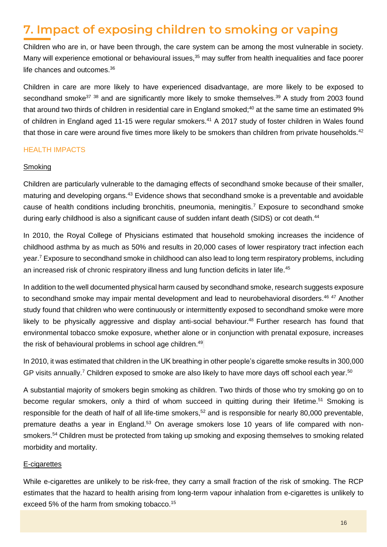# <span id="page-15-0"></span>**7. Impact of exposing children to smoking or vaping**

Children who are in, or have been through, the care system can be among the most vulnerable in society. Many will experience emotional or behavioural issues,<sup>35</sup> may suffer from health inequalities and face poorer life chances and outcomes.<sup>36</sup>

<span id="page-15-1"></span>Children in care are more likely to have experienced disadvantage, are more likely to be exposed to secondhand smoke<sup>37</sup> <sup>38</sup> and are significantly more likely to smoke themselves.<sup>39</sup> A study from 2003 found that around two thirds of children in residential care in England smoked;<sup>40</sup> at the same time an estimated 9% of children in England aged 11-15 were regular smokers.<sup>41</sup> A 2017 study of foster children in Wales found that those in care were around five times more likely to be smokers than children from private households.<sup>42</sup>

### HEALTH IMPACTS

#### **Smoking**

Children are particularly vulnerable to the damaging effects of secondhand smoke because of their smaller, maturing and developing organs.<sup>43</sup> Evidence shows that secondhand smoke is a preventable and avoidable cause of health conditions including bronchitis, pneumonia, meningitis.<sup>[7](#page-1-2)</sup> Exposure to secondhand smoke during early childhood is also a significant cause of sudden infant death (SIDS) or cot death.<sup>44</sup>

In 2010, the Royal College of Physicians estimated that household smoking increases the incidence of childhood asthma by as much as 50% and results in 20,000 cases of lower respiratory tract infection each year[.](#page-1-2)<sup>7</sup> Exposure to secondhand smoke in childhood can also lead to long term respiratory problems, including an increased risk of chronic respiratory illness and lung function deficits in later life.<sup>45</sup>

In addition to the well documented physical harm caused by secondhand smoke, research suggests exposure to secondhand smoke may impair mental development and lead to neurobehavioral disorders.<sup>46 47</sup> Another study found that children who were continuously or intermittently exposed to secondhand smoke were more likely to be physically aggressive and display anti-social behaviour.<sup>48</sup> Further research has found that environmental tobacco smoke exposure, whether alone or in conjunction with prenatal exposure, increases the risk of behavioural problems in school age children.<sup>49</sup>

In 2010, it was estimated that children in the UK breathing in other people's cigarette smoke results in 300,000 GP visits annually[.](#page-1-2)<sup>7</sup> Children exposed to smoke are also likely to have more days off school each year.<sup>50</sup>

A substantial majority of smokers begin smoking as children. Two thirds of those who try smoking go on to become regular smokers, only a third of whom succeed in quitting during their lifetime.<sup>51</sup> Smoking is responsible for the death of half of all life-time smokers,<sup>52</sup> and is responsible for nearly 80,000 preventable, premature deaths a year in England.<sup>53</sup> On average smokers lose 10 years of life compared with nonsmokers.<sup>54</sup> Children must be protected from taking up smoking and exposing themselves to smoking related morbidity and mortality.

#### E-cigarettes

While e-cigarettes are unlikely to be risk-free, they carry a small fraction of the risk of smoking. The RCP estimates that the hazard to health arising from long-term vapour inhalation from e-cigarettes is unlikely to exceed 5% of the harm from smoking tobacco.<sup>[15](#page-10-2)</sup>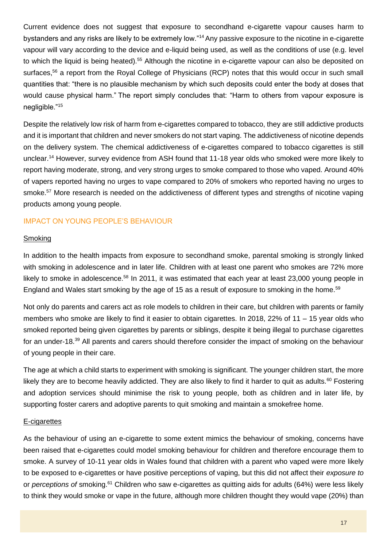Current evidence does not suggest that exposure to secondhand e-cigarette vapour causes harm to bystanders and any risks are likely to be extremely low."[14](#page-10-3)Any passive exposure to the nicotine in e-cigarette vapour will vary according to the device and e-liquid being used, as well as the conditions of use (e.g. level to which the liquid is being heated).<sup>55</sup> Although the nicotine in e-cigarette vapour can also be deposited on surfaces,<sup>56</sup> a report from the Royal College of Physicians (RCP) notes that this would occur in such small quantities that: "there is no plausible mechanism by which such deposits could enter the body at doses that would cause physical harm." The report simply concludes that: "Harm to others from vapour exposure is negligible."[15](#page-10-2)

Despite the relatively low risk of harm from e-cigarettes compared to tobacco, they are still addictive products and it is important that children and never smokers do not start vaping. The addictiveness of nicotine depends on the delivery system. The chemical addictiveness of e-cigarettes compared to tobacco cigarettes is still unclear.[14](#page-10-3) However, survey evidence from ASH found that 11-18 year olds who smoked were more likely to report having moderate, strong, and very strong urges to smoke compared to those who vaped. Around 40% of vapers reported having no urges to vape compared to 20% of smokers who reported having no urges to smoke.<sup>57</sup> More research is needed on the addictiveness of different types and strengths of nicotine vaping products among young people.

### IMPACT ON YOUNG PEOPLE'S BEHAVIOUR

#### Smoking

In addition to the health impacts from exposure to secondhand smoke, parental smoking is strongly linked with smoking in adolescence and in later life. Children with at least one parent who smokes are 72% more likely to smoke in adolescence.<sup>58</sup> In 2011, it was estimated that each year at least 23,000 young people in England and Wales start smoking by the age of 15 as a result of exposure to smoking in the home.<sup>59</sup>

Not only do parents and carers act as role models to children in their care, but children with parents or family members who smoke are likely to find it easier to obtain cigarettes. In 2018, 22% of 11 – 15 year olds who smoked reported being given cigarettes by parents or siblings, despite it being illegal to purchase cigarettes for an under-18.<sup>[39](#page-15-1)</sup> All parents and carers should therefore consider the impact of smoking on the behaviour of young people in their care.

The age at which a child starts to experiment with smoking is significant. The younger children start, the more likely they are to become heavily addicted. They are also likely to find it harder to quit as adults.<sup>60</sup> Fostering and adoption services should minimise the risk to young people, both as children and in later life, by supporting foster carers and adoptive parents to quit smoking and maintain a smokefree home.

#### E-cigarettes

As the behaviour of using an e-cigarette to some extent mimics the behaviour of smoking, concerns have been raised that e-cigarettes could model smoking behaviour for children and therefore encourage them to smoke. A survey of 10-11 year olds in Wales found that children with a parent who vaped were more likely to be exposed to e-cigarettes or have positive perceptions of vaping, but this did not affect their *exposure to* or *perceptions of* smoking.<sup>61</sup> Children who saw e-cigarettes as quitting aids for adults (64%) were less likely to think they would smoke or vape in the future, although more children thought they would vape (20%) than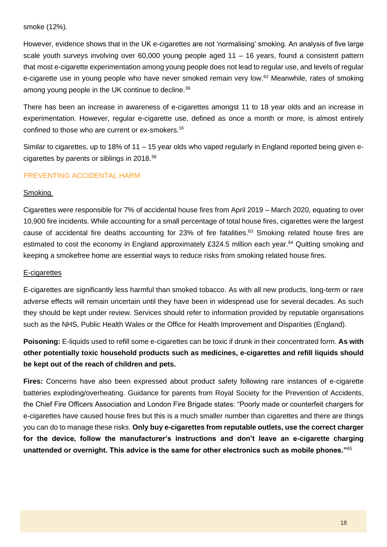#### smoke (12%).

However, evidence shows that in the UK e-cigarettes are not 'normalising' smoking. An analysis of five large scale youth surveys involving over 60,000 young people aged 11 – 16 years, found a consistent pattern that most e-cigarette experimentation among young people does not lead to regular use, and levels of regular e-cigarette use in young people who have never smoked remain very low. <sup>62</sup> Meanwhile, rates of smoking among young people in the UK continue to decline.<sup>[39](#page-15-1)</sup>

There has been an increase in awareness of e-cigarettes amongst 11 to 18 year olds and an increase in experimentation. However, regular e-cigarette use, defined as once a month or more, is almost entirely confined to those who are current or ex-smokers.[16](#page-10-1)

Similar to cigarettes, up to 18% of 11 – 15 year olds who vaped regularly in England reported being given ecigarettes by parents or siblings in 2018.[39](#page-15-1)

#### PREVENTING ACCIDENTAL HARM

#### Smoking

Cigarettes were responsible for 7% of accidental house fires from April 2019 – March 2020, equating to over 10,900 fire incidents. While accounting for a small percentage of total house fires, cigarettes were the largest cause of accidental fire deaths accounting for 23% of fire fatalities.<sup>63</sup> Smoking related house fires are estimated to cost the economy in England approximately £324.5 million each year.<sup>64</sup> Quitting smoking and keeping a smokefree home are essential ways to reduce risks from smoking related house fires.

#### E-cigarettes

E-cigarettes are significantly less harmful than smoked tobacco. As with all new products, long-term or rare adverse effects will remain uncertain until they have been in widespread use for several decades. As such they should be kept under review. Services should refer to information provided by reputable organisations such as the NHS, Public Health Wales or the Office for Health Improvement and Disparities (England).

**Poisoning:** E-liquids used to refill some e-cigarettes can be toxic if drunk in their concentrated form. **As with other potentially toxic household products such as medicines, e-cigarettes and refill liquids should be kept out of the reach of children and pets.** 

**Fires:** Concerns have also been expressed about product safety following rare instances of e-cigarette batteries exploding/overheating. Guidance for parents from Royal Society for the Prevention of Accidents, the Chief Fire Officers Association and London Fire Brigade states: "Poorly made or counterfeit chargers for e-cigarettes have caused house fires but this is a much smaller number than cigarettes and there are things you can do to manage these risks. **Only buy e-cigarettes from reputable outlets, use the correct charger for the device, follow the manufacturer's instructions and don't leave an e-cigarette charging unattended or overnight. This advice is the same for other electronics such as mobile phones."**<sup>65</sup>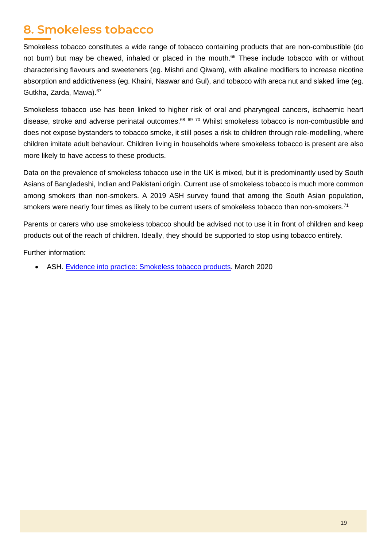# <span id="page-18-0"></span>**8. Smokeless tobacco**

Smokeless tobacco constitutes a wide range of tobacco containing products that are non-combustible (do not burn) but may be chewed, inhaled or placed in the mouth.<sup>66</sup> These include tobacco with or without characterising flavours and sweeteners (eg. Mishri and Qiwam), with alkaline modifiers to increase nicotine absorption and addictiveness (eg. Khaini, Naswar and Gul), and tobacco with areca nut and slaked lime (eg. Gutkha, Zarda, Mawa).<sup>67</sup>

Smokeless tobacco use has been linked to higher risk of oral and pharyngeal cancers, ischaemic heart disease, stroke and adverse perinatal outcomes.<sup>68 69 70</sup> Whilst smokeless tobacco is non-combustible and does not expose bystanders to tobacco smoke, it still poses a risk to children through role-modelling, where children imitate adult behaviour. Children living in households where smokeless tobacco is present are also more likely to have access to these products.

Data on the prevalence of smokeless tobacco use in the UK is mixed, but it is predominantly used by South Asians of Bangladeshi, Indian and Pakistani origin. Current use of smokeless tobacco is much more common among smokers than non-smokers. A 2019 ASH survey found that among the South Asian population, smokers were nearly four times as likely to be current users of smokeless tobacco than non-smokers.<sup>71</sup>

Parents or carers who use smokeless tobacco should be advised not to use it in front of children and keep products out of the reach of children. Ideally, they should be supported to stop using tobacco entirely.

Further information:

• ASH. [Evidence into practice: Smokeless tobacco products.](https://ash.org.uk/wp-content/uploads/2020/03/smokelesstobaccoeip.pdf) March 2020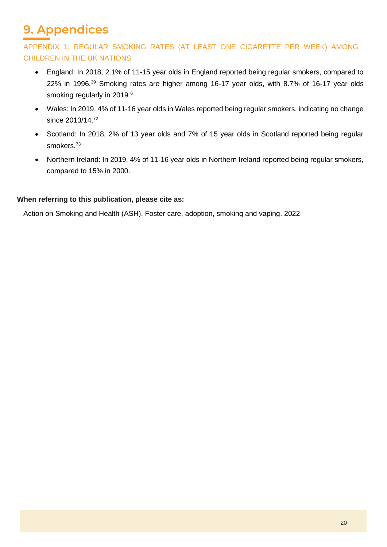# **9. Appendices**

<span id="page-19-0"></span>APPENDIX 1: REGULAR SMOKING RATES (AT LEAST ONE CIGARETTE PER WEEK) AMONG CHILDREN IN THE UK NATIONS

- England: In 2018, 2.1% of 11-15 year olds in England reported being regular smokers, compared to 22% in 1996. [39](#page-15-1) Smoking rates are higher among 16-17 year olds, with 8.7% of 16-17 year olds smoking regularly in 2019[.](#page-1-3)<sup>6</sup>
- Wales: In 2019, 4% of 11-16 year olds in Wales reported being regular smokers, indicating no change since 2013/14.<sup>72</sup>
- Scotland: In 2018, 2% of 13 year olds and 7% of 15 year olds in Scotland reported being regular smokers.<sup>73</sup>
- Northern Ireland: In 2019, 4% of 11-16 year olds in Northern Ireland reported being regular smokers, compared to 15% in 2000.

# **When referring to this publication, please cite as:**

Action on Smoking and Health (ASH). Foster care, adoption, smoking and vaping. 2022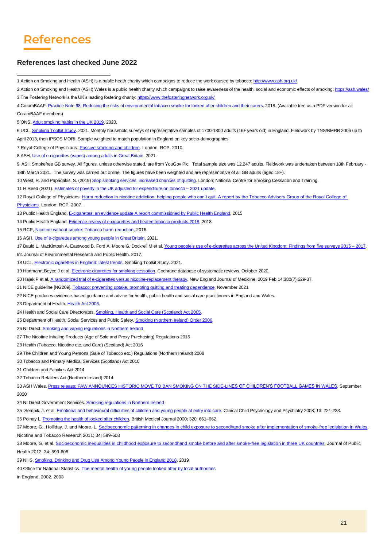# **References**

#### **References last checked June 2022**

1 Action on Smoking and Health (ASH) is a public heath charity which campaigns to reduce the work caused by tobacco[: http://www.ash.org.uk/](http://www.ash.org.uk/)

5 ONS[. Adult smoking habits in the UK 2019.](https://www.ons.gov.uk/peoplepopulationandcommunity/healthandsocialcare/healthandlifeexpectancies/bulletins/adultsmokinghabitsingreatbritain/2019) 2020.

6 UCL[. Smoking Toolkit Study.](https://smokinginengland.info/graphs/top-line-findings) 2021. Monthly household surveys of representative samples of 1700-1800 adults (16+ years old) in England. Fieldwork by TNS/BMRB 2006 up to April 2013, then IPSOS MORI. Sample weighted to match population in England on key socio-demographics

7 Royal College of Physicians[. Passive smoking and children.](http://bit.ly/1iH6hZL) London, RCP, 2010.

8 ASH[. Use of e-cigarettes \(vapes\) among adults in Great Britain.](https://ash.org.uk/information-and-resources/fact-sheets/statistical/use-of-e-cigarettes-among-adults-in-great-britain-2021/) 2021.

9 ASH Smokefree GB survey. All figures, unless otherwise stated, are from YouGov Plc. Total sample size was 12,247 adults. Fieldwork was undertaken between 18th February - 18th March 2021. The survey was carried out online. The figures have been weighted and are representative of all GB adults (aged 18+).

10 West, R. and Papadakis, S. (2019[\) Stop smoking services: increased chances](https://www.ncsct.co.uk/publication_Stop_smoking_services_impact_on_quitting.php) of quitting. London; National Centre for Smoking Cessation and Training.

11 H Reed (2021)[. Estimates of poverty in the UK adjusted for expenditure on tobacco –](https://ash.org.uk/information-and-resources/reports-submissions/reports/smoking-and-poverty/) 2021 update.

12 Royal College of Physicians. Harm reduction in nicotine addiction: helping people who can't quit. A report by the Tobacco Advisory Group of the Royal College of [Physicians.](http://bit.ly/1iWIx7e) London: RCP, 2007.

13 Public Health England[, E-cigarettes: an evidence update A report commissioned by Public Health England,](https://www.gov.uk/government/uploads/system/uploads/attachment_data/file/457102/Ecigarettes_an_evidence_update_A_report_commissioned_by_Public_Health_England_FINAL.pdf) 2015

14 Public Health England[. Evidence review of e-cigarettes and heated tobacco products 2018.](https://www.gov.uk/government/publications/e-cigarettes-and-heated-tobacco-products-evidence-review/evidence-review-of-e-cigarettes-and-heated-tobacco-products-2018-executive-summary) 2018.

15 RCP[, Nicotine without smoke: Tobacco harm reduction,](https://www.rcplondon.ac.uk/projects/outputs/nicotine-without-smoke-tobacco-harm-reduction-0) 2016

16 ASH[. Use of e-cigarettes among young people in Great Britain.](https://ash.org.uk/information-and-resources/fact-sheets/statistical/use-of-e-cigarettes-among-young-people-in-great-britain-2021/) 2021.

17 Bauld L. MacKintosh A. Eastwood B. Ford A. Moore G. Dockrell M et al. Young people's use of e-cigarettes across the United Kingdom: Findings from five surveys 2015 - 2017.

Int. Journal of Environmental Research and Public Health. 2017.

18 UCL[. Electronic cigarettes in England: latest trends.](https://smokinginengland.info/graphs/e-cigarettes-latest-trends) Smoking Toolkit Study. 2021.

19 Hartmann. Boyce J et al[. Electronic cigarettes for smoking cessation.](https://www.cochranelibrary.com/cdsr/doi/10.1002/14651858.CD010216.pub4/full) Cochrane database of systematic reviews. October 2020.

20 Hajek P et al. [A randomized trial of e-cigarettes versus nicotine-replacement therapy.](https://www.nejm.org/doi/full/10.1056/nejmoa1808779) New England Journal of Medicine. 2019 Feb 14;380(7):629-37.

21 NICE guideline [NG209][. Tobacco: preventing uptake, promoting quitting and treating dependence.](https://www.nice.org.uk/guidance/ng209/chapter/recommendations-on-treating-tobacco-dependence#advice-on-nicotine-containing-e-cigarettes) November 2021

22 NICE produces evidence-based guidance and advice for health, public health and social care practitioners in England and Wales.

23 Department of Health[. Health Act 2006.](https://www.legislation.gov.uk/ukpga/2006/28/pdfs/ukpga_20060028_en.pdf) 

24 Health and Social Care Directorates. Smoking, Health and Social Care (Scotland) Act 2005.

25 Department of Health, Social Services and Public Safety[. Smoking \(Northern Ireland\) Order 2006.](https://www.legislation.gov.uk/nisi/2006/2957/pdfs/uksi_20062957_en.pdf)

26 NI Direct[. Smoking and vaping regulations in Northern Ireland](https://www.nidirect.gov.uk/articles/smoking-and-vaping-regulations-northern-ireland#toc-4)

27 The Nicotine Inhaling Products (Age of Sale and Proxy Purchasing) Regulations 2015

28 Health (Tobacco, Nicotine etc. and Care) (Scotland) Act 2016

29 The Children and Young Persons (Sale of Tobacco etc.) Regulations (Northern Ireland) 2008

30 Tobacco and Primary Medical Services (Scotland) Act 2010

31 Children and Families Act 2014

32 Tobacco Retailers Act (Northern Ireland) 2014

33 ASH Wales[. Press release: FAW ANNOUNCES HISTORIC MOVE TO BAN SMOKING ON THE SIDE-LINES OF CHILDREN'S FOOTBALL GAMES IN WALES.](https://ash.wales/faw-announces-historic-move-to-ban-smoking-on-the-sidelines-of-childrens-football-games-in-wales-2/) September 2020

34 NI Direct Government Services. **Smoking regulations in Northern Ireland** 

35 Sempik, J. et al[. Emotional and behavioural difficulties of children and young people at entry into care.](https://pubmed.ncbi.nlm.nih.gov/18540226/) Clinical Child Psychology and Psychiatry 2008; 13: 221-233.

36 Polnay L. [Promoting the health of looked after children.](https://www.bmj.com/content/320/7236/661) British Medical Journal 2000; 320: 661–662.

37 Moore, G., Holliday, J. and Moore, L. [Socioeconomic patterning in changes in child exposure to secondhand smoke after implementation of smoke-free legislation in Wales.](http://bit.ly/1gKKAIt)  Nicotine and Tobacco Research 2011; 34: 599-608

38 Moore, G. et al. [Socioeconomic inequalities in childhood exposure to secondhand smoke before and after smoke-free legislation in three UK countries.](http://1.usa.gov/1gKNoFE) Journal of Public Health 2012; 34: 599-608.

39 NHS. [Smoking, Drinking and Drug Use Among Young People in England 2018.](https://digital.nhs.uk/data-and-information/publications/statistical/smoking-drinking-and-drug-use-among-young-people-in-england/2018) 2019

40 Office for National Statistics. [The mental health of young people looked after by local authorities](The%20mental%20health%20of%20young%20people%20looked%20after%20by%20local%20authorities)

in England, 2002. 2003

<sup>2</sup> Action on Smoking and Health (ASH) Wales is a public health charity which campaigns to raise awareness of the health, social and economic effects of smoking[: https://ash.wales/](https://ash.wales/) 3 The Fostering Network is the UK's leading fostering charity[: https://www.thefosteringnetwork.org.uk/](https://www.thefosteringnetwork.org.uk/)

<sup>4</sup> CoramBAAF[. Practice Note 68: Reducing the risks of environmental tobacco smoke for looked after children and their carers](https://corambaaf.org.uk/books/practice-note-68-reducing-risks-environmental-tobacco-smoke-looked-after-children-and-their-0). 2018. (Available free as a PDF version for all CoramBAAF members)